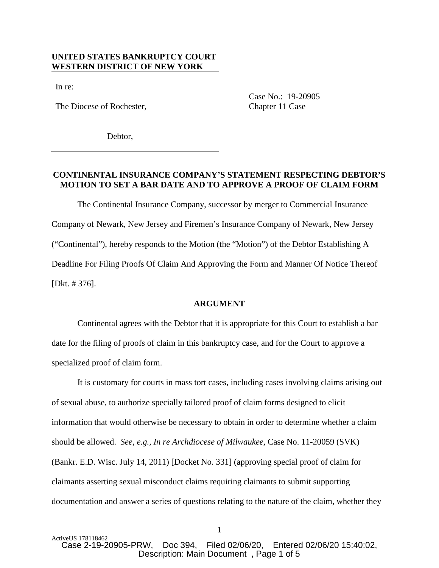## **UNITED STATES BANKRUPTCY COURT WESTERN DISTRICT OF NEW YORK**

In re:

The Diocese of Rochester, Chapter 11 Case

Case No.: 19-20905

Debtor,

## **CONTINENTAL INSURANCE COMPANY'S STATEMENT RESPECTING DEBTOR'S MOTION TO SET A BAR DATE AND TO APPROVE A PROOF OF CLAIM FORM**

The Continental Insurance Company, successor by merger to Commercial Insurance Company of Newark, New Jersey and Firemen's Insurance Company of Newark, New Jersey ("Continental"), hereby responds to the Motion (the "Motion") of the Debtor Establishing A Deadline For Filing Proofs Of Claim And Approving the Form and Manner Of Notice Thereof [Dkt. # 376].

#### **ARGUMENT**

Continental agrees with the Debtor that it is appropriate for this Court to establish a bar date for the filing of proofs of claim in this bankruptcy case, and for the Court to approve a specialized proof of claim form.

It is customary for courts in mass tort cases, including cases involving claims arising out of sexual abuse, to authorize specially tailored proof of claim forms designed to elicit information that would otherwise be necessary to obtain in order to determine whether a claim should be allowed. *See, e.g., In re Archdiocese of Milwaukee,* Case No. 11-20059 (SVK) (Bankr. E.D. Wisc. July 14, 2011) [Docket No. 331] (approving special proof of claim for claimants asserting sexual misconduct claims requiring claimants to submit supporting documentation and answer a series of questions relating to the nature of the claim, whether they

1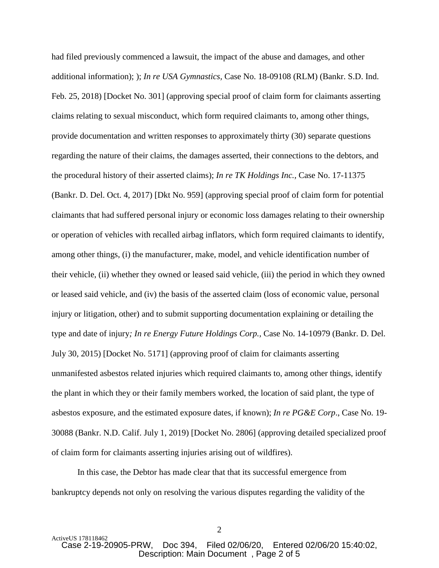had filed previously commenced a lawsuit, the impact of the abuse and damages, and other additional information); ); *In re USA Gymnastics,* Case No. 18-09108 (RLM) (Bankr. S.D. Ind. Feb. 25, 2018) [Docket No. 301] (approving special proof of claim form for claimants asserting claims relating to sexual misconduct, which form required claimants to, among other things, provide documentation and written responses to approximately thirty (30) separate questions regarding the nature of their claims, the damages asserted, their connections to the debtors, and the procedural history of their asserted claims); *In re TK Holdings Inc.,* Case No. 17-11375 (Bankr. D. Del. Oct. 4, 2017) [Dkt No. 959] (approving special proof of claim form for potential claimants that had suffered personal injury or economic loss damages relating to their ownership or operation of vehicles with recalled airbag inflators, which form required claimants to identify, among other things, (i) the manufacturer, make, model, and vehicle identification number of their vehicle, (ii) whether they owned or leased said vehicle, (iii) the period in which they owned or leased said vehicle, and (iv) the basis of the asserted claim (loss of economic value, personal injury or litigation, other) and to submit supporting documentation explaining or detailing the type and date of injury*; In re Energy Future Holdings Corp.,* Case No. 14-10979 (Bankr. D. Del. July 30, 2015) [Docket No. 5171] (approving proof of claim for claimants asserting unmanifested asbestos related injuries which required claimants to, among other things, identify the plant in which they or their family members worked, the location of said plant, the type of asbestos exposure, and the estimated exposure dates, if known); *In re PG&E Corp*., Case No. 19- 30088 (Bankr. N.D. Calif. July 1, 2019) [Docket No. 2806] (approving detailed specialized proof of claim form for claimants asserting injuries arising out of wildfires).

In this case, the Debtor has made clear that that its successful emergence from bankruptcy depends not only on resolving the various disputes regarding the validity of the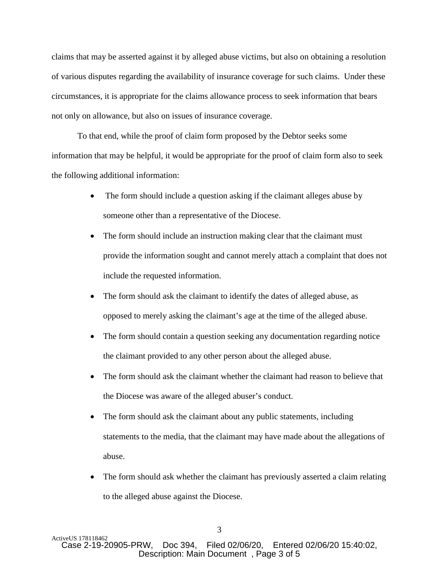claims that may be asserted against it by alleged abuse victims, but also on obtaining a resolution of various disputes regarding the availability of insurance coverage for such claims. Under these circumstances, it is appropriate for the claims allowance process to seek information that bears not only on allowance, but also on issues of insurance coverage.

To that end, while the proof of claim form proposed by the Debtor seeks some information that may be helpful, it would be appropriate for the proof of claim form also to seek the following additional information:

- The form should include a question asking if the claimant alleges abuse by someone other than a representative of the Diocese.
- The form should include an instruction making clear that the claimant must provide the information sought and cannot merely attach a complaint that does not include the requested information.
- The form should ask the claimant to identify the dates of alleged abuse, as opposed to merely asking the claimant's age at the time of the alleged abuse.
- The form should contain a question seeking any documentation regarding notice the claimant provided to any other person about the alleged abuse.
- The form should ask the claimant whether the claimant had reason to believe that the Diocese was aware of the alleged abuser's conduct.
- The form should ask the claimant about any public statements, including statements to the media, that the claimant may have made about the allegations of abuse.
- The form should ask whether the claimant has previously asserted a claim relating to the alleged abuse against the Diocese.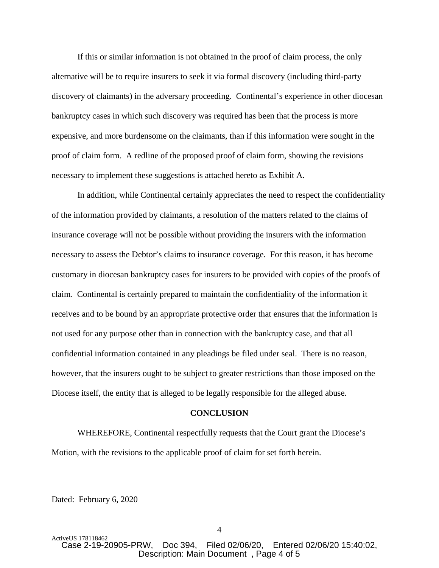If this or similar information is not obtained in the proof of claim process, the only alternative will be to require insurers to seek it via formal discovery (including third-party discovery of claimants) in the adversary proceeding. Continental's experience in other diocesan bankruptcy cases in which such discovery was required has been that the process is more expensive, and more burdensome on the claimants, than if this information were sought in the proof of claim form. A redline of the proposed proof of claim form, showing the revisions necessary to implement these suggestions is attached hereto as Exhibit A.

In addition, while Continental certainly appreciates the need to respect the confidentiality of the information provided by claimants, a resolution of the matters related to the claims of insurance coverage will not be possible without providing the insurers with the information necessary to assess the Debtor's claims to insurance coverage. For this reason, it has become customary in diocesan bankruptcy cases for insurers to be provided with copies of the proofs of claim. Continental is certainly prepared to maintain the confidentiality of the information it receives and to be bound by an appropriate protective order that ensures that the information is not used for any purpose other than in connection with the bankruptcy case, and that all confidential information contained in any pleadings be filed under seal. There is no reason, however, that the insurers ought to be subject to greater restrictions than those imposed on the Diocese itself, the entity that is alleged to be legally responsible for the alleged abuse.

#### **CONCLUSION**

WHEREFORE, Continental respectfully requests that the Court grant the Diocese's Motion, with the revisions to the applicable proof of claim for set forth herein.

Dated: February 6, 2020

ActiveUS 178118462<br>Case 2-19-20905-PRW, Doc 394, Filed 02/06/20, Entered 02/06/20 15:40:02. Description: Main Document , Page 4 of 5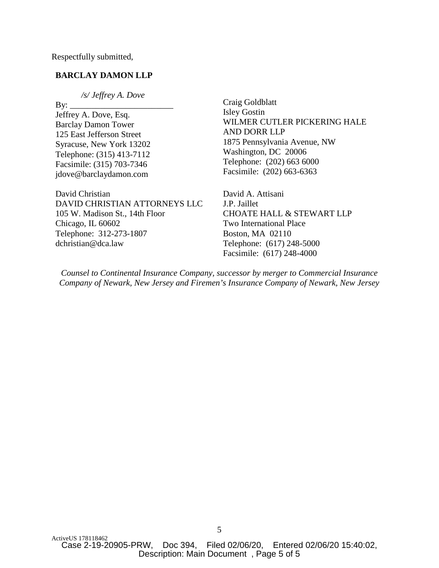Respectfully submitted,

## **BARCLAY DAMON LLP**

 */s/ Jeffrey A. Dove* 

By: \_\_\_\_\_\_\_\_\_\_\_\_\_\_\_\_\_\_\_\_\_\_\_\_ Jeffrey A. Dove, Esq. Barclay Damon Tower 125 East Jefferson Street Syracuse, New York 13202 Telephone: (315) 413-7112 Facsimile: (315) 703-7346 jdove@barclaydamon.com

David Christian DAVID CHRISTIAN ATTORNEYS LLC 105 W. Madison St., 14th Floor Chicago, IL 60602 Telephone: 312-273-1807 dchristian@dca.law

Craig Goldblatt Isley Gostin WILMER CUTLER PICKERING HALE AND DORR LLP 1875 Pennsylvania Avenue, NW Washington, DC 20006 Telephone: (202) 663 6000 Facsimile: (202) 663-6363

David A. Attisani J.P. Jaillet CHOATE HALL & STEWART LLP Two International Place Boston, MA 02110 Telephone: (617) 248-5000 Facsimile: (617) 248-4000

*Counsel to Continental Insurance Company, successor by merger to Commercial Insurance Company of Newark, New Jersey and Firemen's Insurance Company of Newark, New Jersey*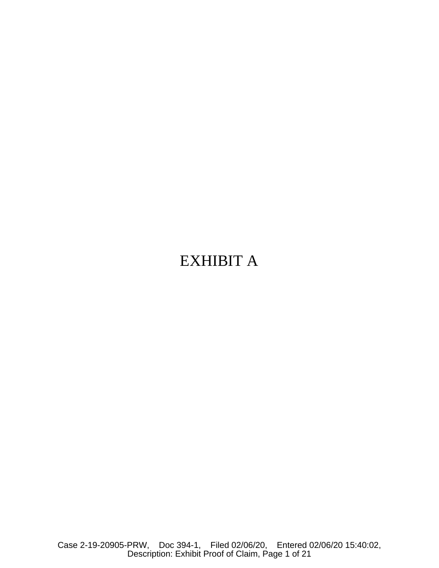# EXHIBIT A

Case 2-19-20905-PRW, Doc 394-1, Filed 02/06/20, Entered 02/06/20 15:40:02, Description: Exhibit Proof of Claim, Page 1 of 21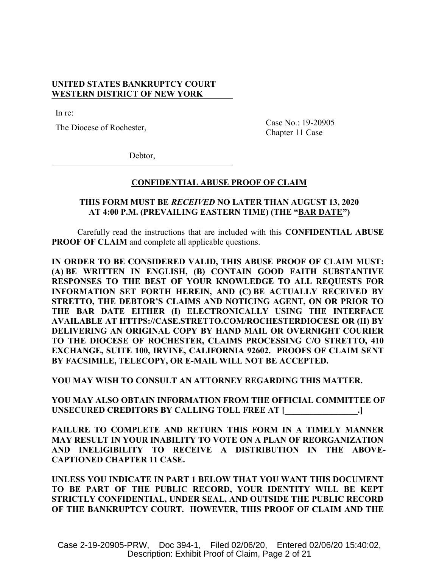## **UNITED STATES BANKRUPTCY COURT WESTERN DISTRICT OF NEW YORK**

In re:

The Diocese of Rochester,

Case No.: 19-20905 Chapter 11 Case

Debtor,

#### **CONFIDENTIAL ABUSE PROOF OF CLAIM**

# **THIS FORM MUST BE** *RECEIVED* **NO LATER THAN AUGUST 13, 2020 AT 4:00 P.M. (PREVAILING EASTERN TIME) (THE "BAR DATE")**

Carefully read the instructions that are included with this **CONFIDENTIAL ABUSE PROOF OF CLAIM** and complete all applicable questions.

**IN ORDER TO BE CONSIDERED VALID, THIS ABUSE PROOF OF CLAIM MUST: (A) BE WRITTEN IN ENGLISH, (B) CONTAIN GOOD FAITH SUBSTANTIVE RESPONSES TO THE BEST OF YOUR KNOWLEDGE TO ALL REQUESTS FOR INFORMATION SET FORTH HEREIN, AND (C) BE ACTUALLY RECEIVED BY STRETTO, THE DEBTOR'S CLAIMS AND NOTICING AGENT, ON OR PRIOR TO THE BAR DATE EITHER (I) ELECTRONICALLY USING THE INTERFACE AVAILABLE AT HTTPS://CASE.STRETTO.COM/ROCHESTERDIOCESE OR (II) BY DELIVERING AN ORIGINAL COPY BY HAND MAIL OR OVERNIGHT COURIER TO THE DIOCESE OF ROCHESTER, CLAIMS PROCESSING C/O STRETTO, 410 EXCHANGE, SUITE 100, IRVINE, CALIFORNIA 92602. PROOFS OF CLAIM SENT BY FACSIMILE, TELECOPY, OR E-MAIL WILL NOT BE ACCEPTED.**

**YOU MAY WISH TO CONSULT AN ATTORNEY REGARDING THIS MATTER.**

**YOU MAY ALSO OBTAIN INFORMATION FROM THE OFFICIAL COMMITTEE OF UNSECURED CREDITORS BY CALLING TOLL FREE AT [\_\_\_\_\_\_\_\_\_\_\_\_\_\_\_\_\_.]**

**FAILURE TO COMPLETE AND RETURN THIS FORM IN A TIMELY MANNER MAY RESULT IN YOUR INABILITY TO VOTE ON A PLAN OF REORGANIZATION AND INELIGIBILITY TO RECEIVE A DISTRIBUTION IN THE ABOVE-CAPTIONED CHAPTER 11 CASE.**

**UNLESS YOU INDICATE IN PART 1 BELOW THAT YOU WANT THIS DOCUMENT TO BE PART OF THE PUBLIC RECORD, YOUR IDENTITY WILL BE KEPT STRICTLY CONFIDENTIAL, UNDER SEAL, AND OUTSIDE THE PUBLIC RECORD OF THE BANKRUPTCY COURT. HOWEVER, THIS PROOF OF CLAIM AND THE**

Case 2-19-20905-PRW, Doc 394-1, Filed 02/06/20, Entered 02/06/20 15:40:02, Description: Exhibit Proof of Claim, Page 2 of 21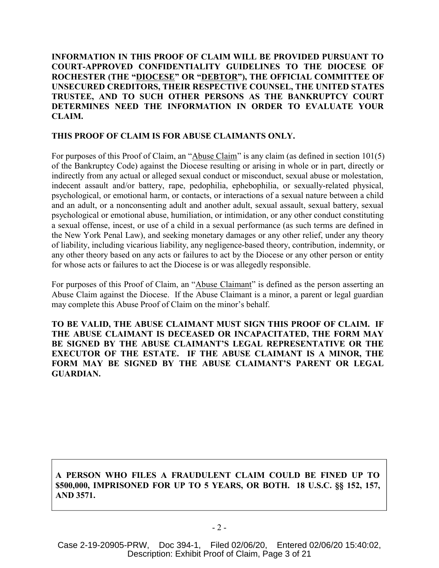**INFORMATION IN THIS PROOF OF CLAIM WILL BE PROVIDED PURSUANT TO COURT-APPROVED CONFIDENTIALITY GUIDELINES TO THE DIOCESE OF ROCHESTER (THE "DIOCESE" OR "DEBTOR"), THE OFFICIAL COMMITTEE OF UNSECURED CREDITORS, THEIR RESPECTIVE COUNSEL, THE UNITED STATES TRUSTEE, AND TO SUCH OTHER PERSONS AS THE BANKRUPTCY COURT DETERMINES NEED THE INFORMATION IN ORDER TO EVALUATE YOUR CLAIM.**

## **THIS PROOF OF CLAIM IS FOR ABUSE CLAIMANTS ONLY.**

For purposes of this Proof of Claim, an "Abuse Claim" is any claim (as defined in section 101(5) of the Bankruptcy Code) against the Diocese resulting or arising in whole or in part, directly or indirectly from any actual or alleged sexual conduct or misconduct, sexual abuse or molestation, indecent assault and/or battery, rape, pedophilia, ephebophilia, or sexually-related physical, psychological, or emotional harm, or contacts, or interactions of a sexual nature between a child and an adult, or a nonconsenting adult and another adult, sexual assault, sexual battery, sexual psychological or emotional abuse, humiliation, or intimidation, or any other conduct constituting a sexual offense, incest, or use of a child in a sexual performance (as such terms are defined in the New York Penal Law), and seeking monetary damages or any other relief, under any theory of liability, including vicarious liability, any negligence-based theory, contribution, indemnity, or any other theory based on any acts or failures to act by the Diocese or any other person or entity for whose acts or failures to act the Diocese is or was allegedly responsible.

For purposes of this Proof of Claim, an "Abuse Claimant" is defined as the person asserting an Abuse Claim against the Diocese. If the Abuse Claimant is a minor, a parent or legal guardian may complete this Abuse Proof of Claim on the minor's behalf.

**TO BE VALID, THE ABUSE CLAIMANT MUST SIGN THIS PROOF OF CLAIM. IF THE ABUSE CLAIMANT IS DECEASED OR INCAPACITATED, THE FORM MAY BE SIGNED BY THE ABUSE CLAIMANT'S LEGAL REPRESENTATIVE OR THE EXECUTOR OF THE ESTATE. IF THE ABUSE CLAIMANT IS A MINOR, THE FORM MAY BE SIGNED BY THE ABUSE CLAIMANT'S PARENT OR LEGAL GUARDIAN.**

**A PERSON WHO FILES A FRAUDULENT CLAIM COULD BE FINED UP TO \$500,000, IMPRISONED FOR UP TO 5 YEARS, OR BOTH. 18 U.S.C. §§ 152, 157, AND 3571.**

Case 2-19-20905-PRW, Doc 394-1, Filed 02/06/20, Entered 02/06/20 15:40:02, Description: Exhibit Proof of Claim, Page 3 of 21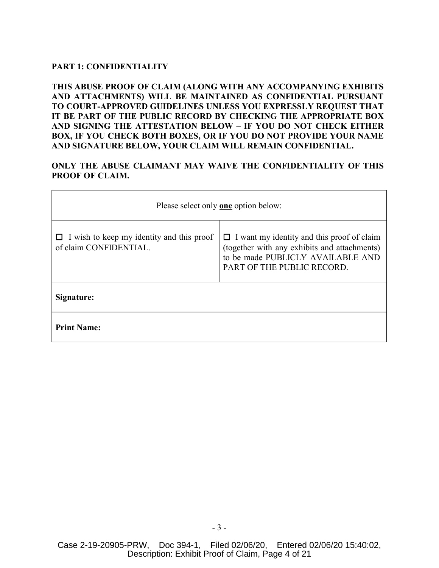# **PART 1: CONFIDENTIALITY**

**THIS ABUSE PROOF OF CLAIM (ALONG WITH ANY ACCOMPANYING EXHIBITS AND ATTACHMENTS) WILL BE MAINTAINED AS CONFIDENTIAL PURSUANT TO COURT-APPROVED GUIDELINES UNLESS YOU EXPRESSLY REQUEST THAT IT BE PART OF THE PUBLIC RECORD BY CHECKING THE APPROPRIATE BOX AND SIGNING THE ATTESTATION BELOW – IF YOU DO NOT CHECK EITHER BOX, IF YOU CHECK BOTH BOXES, OR IF YOU DO NOT PROVIDE YOUR NAME AND SIGNATURE BELOW, YOUR CLAIM WILL REMAIN CONFIDENTIAL.**

# **ONLY THE ABUSE CLAIMANT MAY WAIVE THE CONFIDENTIALITY OF THIS PROOF OF CLAIM.**

| Please select only <b>one</b> option below:                                |                                                                                                                                                                      |  |  |  |
|----------------------------------------------------------------------------|----------------------------------------------------------------------------------------------------------------------------------------------------------------------|--|--|--|
| $\Box$ I wish to keep my identity and this proof<br>of claim CONFIDENTIAL. | $\Box$ I want my identity and this proof of claim<br>(together with any exhibits and attachments)<br>to be made PUBLICLY AVAILABLE AND<br>PART OF THE PUBLIC RECORD. |  |  |  |
| Signature:                                                                 |                                                                                                                                                                      |  |  |  |
| <b>Print Name:</b>                                                         |                                                                                                                                                                      |  |  |  |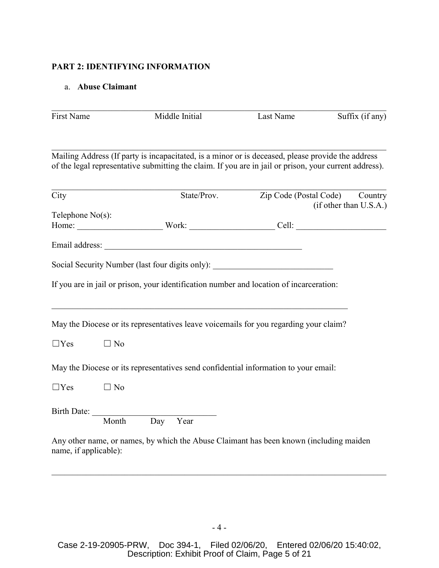# **PART 2: IDENTIFYING INFORMATION**

# a. **Abuse Claimant**

| First Name            |                            | Middle Initial | Last Name                                                                                                                                                                                                   | Suffix (if any)        |
|-----------------------|----------------------------|----------------|-------------------------------------------------------------------------------------------------------------------------------------------------------------------------------------------------------------|------------------------|
|                       |                            |                | Mailing Address (If party is incapacitated, is a minor or is deceased, please provide the address<br>of the legal representative submitting the claim. If you are in jail or prison, your current address). |                        |
| City                  |                            |                | State/Prov. Zip Code (Postal Code) Country                                                                                                                                                                  | (if other than U.S.A.) |
| Telephone $No(s)$ :   |                            |                |                                                                                                                                                                                                             |                        |
|                       |                            |                |                                                                                                                                                                                                             |                        |
|                       |                            |                | Social Security Number (last four digits only): ________________________________                                                                                                                            |                        |
|                       |                            |                | If you are in jail or prison, your identification number and location of incarceration:                                                                                                                     |                        |
|                       |                            |                | May the Diocese or its representatives leave voicemails for you regarding your claim?                                                                                                                       |                        |
| $\Box$ Yes            | $\Box$ No                  |                |                                                                                                                                                                                                             |                        |
|                       |                            |                | May the Diocese or its representatives send confidential information to your email:                                                                                                                         |                        |
| $\Box$ Yes            | $\Box$ No                  |                |                                                                                                                                                                                                             |                        |
|                       | Birth Date: Month Day Year |                |                                                                                                                                                                                                             |                        |
| name, if applicable): |                            |                | Any other name, or names, by which the Abuse Claimant has been known (including maiden                                                                                                                      |                        |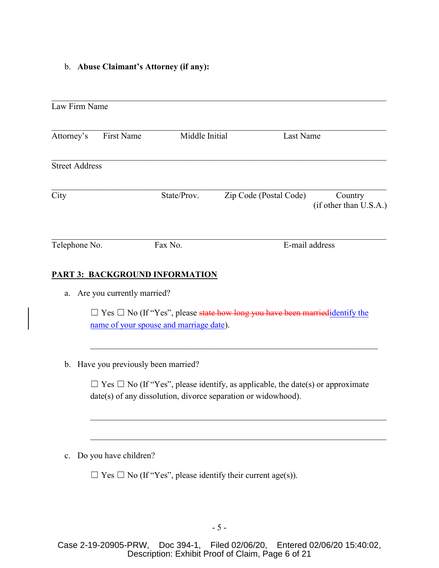b. **Abuse Claimant's Attorney (if any):**

| Law Firm Name         |            |                                |                        |                                   |
|-----------------------|------------|--------------------------------|------------------------|-----------------------------------|
| Attorney's            | First Name | Middle Initial                 |                        | Last Name                         |
| <b>Street Address</b> |            |                                |                        |                                   |
| City                  |            | State/Prov.                    | Zip Code (Postal Code) | Country<br>(if other than U.S.A.) |
| Telephone No.         |            | Fax No.                        |                        | E-mail address                    |
|                       |            | PART 3: BACKGROUND INFORMATION |                        |                                   |

a. Are you currently married?

□ Yes □ No (If "Yes", please state how long you have been married identify the name of your spouse and marriage date).

b. Have you previously been married?

 $\Box$  Yes  $\Box$  No (If "Yes", please identify, as applicable, the date(s) or approximate date(s) of any dissolution, divorce separation or widowhood).

 $\mathcal{L}_\mathcal{L} = \mathcal{L}_\mathcal{L} = \mathcal{L}_\mathcal{L} = \mathcal{L}_\mathcal{L} = \mathcal{L}_\mathcal{L} = \mathcal{L}_\mathcal{L} = \mathcal{L}_\mathcal{L} = \mathcal{L}_\mathcal{L} = \mathcal{L}_\mathcal{L} = \mathcal{L}_\mathcal{L} = \mathcal{L}_\mathcal{L} = \mathcal{L}_\mathcal{L} = \mathcal{L}_\mathcal{L} = \mathcal{L}_\mathcal{L} = \mathcal{L}_\mathcal{L} = \mathcal{L}_\mathcal{L} = \mathcal{L}_\mathcal{L}$ 

c. Do you have children?

 $\Box$  Yes  $\Box$  No (If "Yes", please identify their current age(s)).

Case 2-19-20905-PRW, Doc 394-1, Filed 02/06/20, Entered 02/06/20 15:40:02, Description: Exhibit Proof of Claim, Page 6 of 21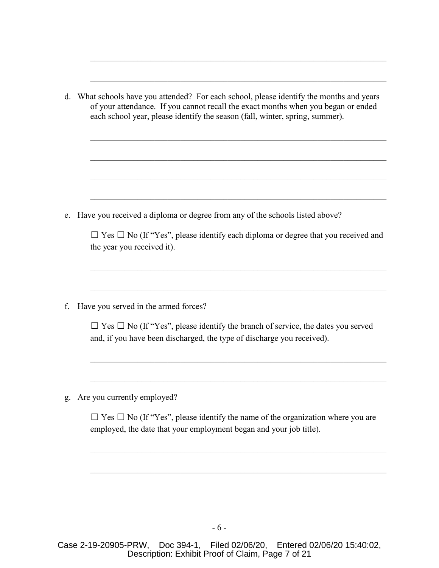|    | d. What schools have you attended? For each school, please identify the months and years<br>of your attendance. If you cannot recall the exact months when you began or ended<br>each school year, please identify the season (fall, winter, spring, summer). |
|----|---------------------------------------------------------------------------------------------------------------------------------------------------------------------------------------------------------------------------------------------------------------|
|    |                                                                                                                                                                                                                                                               |
|    |                                                                                                                                                                                                                                                               |
| e. | Have you received a diploma or degree from any of the schools listed above?                                                                                                                                                                                   |
|    | $\Box$ Yes $\Box$ No (If "Yes", please identify each diploma or degree that you received and<br>the year you received it).                                                                                                                                    |
| f. | Have you served in the armed forces?                                                                                                                                                                                                                          |
|    | $\Box$ Yes $\Box$ No (If "Yes", please identify the branch of service, the dates you served<br>and, if you have been discharged, the type of discharge you received).                                                                                         |
| g. | Are you currently employed?                                                                                                                                                                                                                                   |
|    | $\Box$ Yes $\Box$ No (If "Yes", please identify the name of the organization where you are<br>employed, the date that your employment began and your job title).                                                                                              |
|    |                                                                                                                                                                                                                                                               |

Case 2-19-20905-PRW, Doc 394-1, Filed 02/06/20, Entered 02/06/20 15:40:02, Description: Exhibit Proof of Claim, Page 7 of 21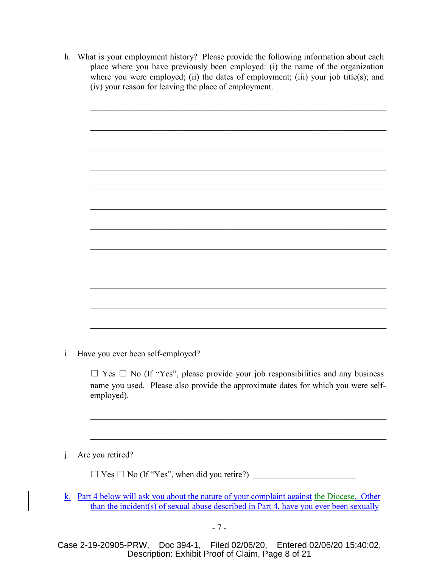- h. What is your employment history? Please provide the following information about each place where you have previously been employed: (i) the name of the organization where you were employed; (ii) the dates of employment; (iii) your job title(s); and (iv) your reason for leaving the place of employment.
	- $\mathcal{L}_\mathcal{L} = \mathcal{L}_\mathcal{L} = \mathcal{L}_\mathcal{L} = \mathcal{L}_\mathcal{L} = \mathcal{L}_\mathcal{L} = \mathcal{L}_\mathcal{L} = \mathcal{L}_\mathcal{L} = \mathcal{L}_\mathcal{L} = \mathcal{L}_\mathcal{L} = \mathcal{L}_\mathcal{L} = \mathcal{L}_\mathcal{L} = \mathcal{L}_\mathcal{L} = \mathcal{L}_\mathcal{L} = \mathcal{L}_\mathcal{L} = \mathcal{L}_\mathcal{L} = \mathcal{L}_\mathcal{L} = \mathcal{L}_\mathcal{L}$  $\mathcal{L}_\mathcal{L} = \mathcal{L}_\mathcal{L} = \mathcal{L}_\mathcal{L} = \mathcal{L}_\mathcal{L} = \mathcal{L}_\mathcal{L} = \mathcal{L}_\mathcal{L} = \mathcal{L}_\mathcal{L} = \mathcal{L}_\mathcal{L} = \mathcal{L}_\mathcal{L} = \mathcal{L}_\mathcal{L} = \mathcal{L}_\mathcal{L} = \mathcal{L}_\mathcal{L} = \mathcal{L}_\mathcal{L} = \mathcal{L}_\mathcal{L} = \mathcal{L}_\mathcal{L} = \mathcal{L}_\mathcal{L} = \mathcal{L}_\mathcal{L}$
- i. Have you ever been self-employed?

 $\Box$  Yes  $\Box$  No (If "Yes", please provide your job responsibilities and any business name you used. Please also provide the approximate dates for which you were selfemployed).

j. Are you retired?

☐ Yes ☐ No (If "Yes", when did you retire?) \_\_\_\_\_\_\_\_\_\_\_\_\_\_\_\_\_\_\_\_\_\_\_\_

k. Part 4 below will ask you about the nature of your complaint against the Diocese. Other than the incident(s) of sexual abuse described in Part 4, have you ever been sexually

Case 2-19-20905-PRW, Doc 394-1, Filed 02/06/20, Entered 02/06/20 15:40:02, Description: Exhibit Proof of Claim, Page 8 of 21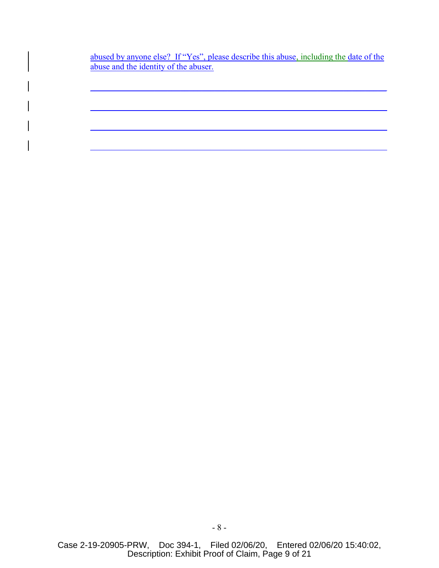abused by anyone else? If "Yes", please describe this abuse, including the date of the abuse and the identity of the abuser.

 $\mathcal{L}_\mathcal{L} = \mathcal{L}_\mathcal{L} = \mathcal{L}_\mathcal{L} = \mathcal{L}_\mathcal{L} = \mathcal{L}_\mathcal{L} = \mathcal{L}_\mathcal{L} = \mathcal{L}_\mathcal{L} = \mathcal{L}_\mathcal{L} = \mathcal{L}_\mathcal{L} = \mathcal{L}_\mathcal{L} = \mathcal{L}_\mathcal{L} = \mathcal{L}_\mathcal{L} = \mathcal{L}_\mathcal{L} = \mathcal{L}_\mathcal{L} = \mathcal{L}_\mathcal{L} = \mathcal{L}_\mathcal{L} = \mathcal{L}_\mathcal{L}$ 

\_\_\_\_\_\_\_\_\_\_\_\_\_\_\_\_\_\_\_\_\_\_\_\_\_\_\_\_\_\_\_\_\_\_\_\_\_\_\_\_\_\_\_\_\_\_\_\_\_\_\_\_\_\_\_\_\_\_\_\_\_\_\_\_\_\_\_\_\_

 $\mathcal{L}_\mathcal{L} = \mathcal{L}_\mathcal{L} = \mathcal{L}_\mathcal{L} = \mathcal{L}_\mathcal{L} = \mathcal{L}_\mathcal{L} = \mathcal{L}_\mathcal{L} = \mathcal{L}_\mathcal{L} = \mathcal{L}_\mathcal{L} = \mathcal{L}_\mathcal{L} = \mathcal{L}_\mathcal{L} = \mathcal{L}_\mathcal{L} = \mathcal{L}_\mathcal{L} = \mathcal{L}_\mathcal{L} = \mathcal{L}_\mathcal{L} = \mathcal{L}_\mathcal{L} = \mathcal{L}_\mathcal{L} = \mathcal{L}_\mathcal{L}$ 

\_\_\_\_\_\_\_\_\_\_\_\_\_\_\_\_\_\_\_\_\_\_\_\_\_\_\_\_\_\_\_\_\_\_\_\_\_\_\_\_\_\_\_\_\_\_\_\_\_\_\_\_\_\_\_\_\_\_\_\_\_\_\_\_\_\_\_\_\_

Case 2-19-20905-PRW, Doc 394-1, Filed 02/06/20, Entered 02/06/20 15:40:02, Description: Exhibit Proof of Claim, Page 9 of 21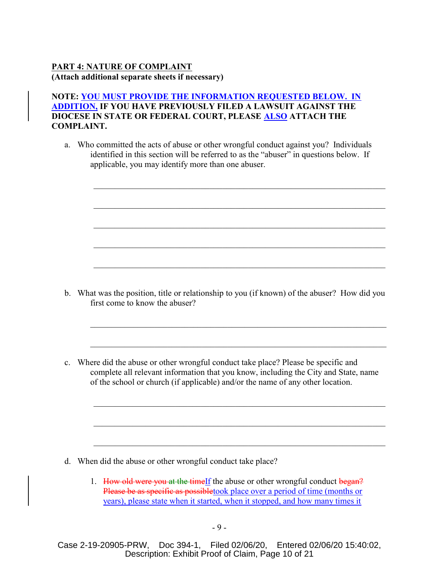# **PART 4: NATURE OF COMPLAINT (Attach additional separate sheets if necessary)**

# **NOTE: YOU MUST PROVIDE THE INFORMATION REQUESTED BELOW. IN ADDITION, IF YOU HAVE PREVIOUSLY FILED A LAWSUIT AGAINST THE DIOCESE IN STATE OR FEDERAL COURT, PLEASE ALSO ATTACH THE COMPLAINT.**

a. Who committed the acts of abuse or other wrongful conduct against you? Individuals identified in this section will be referred to as the "abuser" in questions below. If applicable, you may identify more than one abuser.

b. What was the position, title or relationship to you (if known) of the abuser? How did you first come to know the abuser?

 $\mathcal{L}_\mathcal{L} = \mathcal{L}_\mathcal{L} = \mathcal{L}_\mathcal{L} = \mathcal{L}_\mathcal{L} = \mathcal{L}_\mathcal{L} = \mathcal{L}_\mathcal{L} = \mathcal{L}_\mathcal{L} = \mathcal{L}_\mathcal{L} = \mathcal{L}_\mathcal{L} = \mathcal{L}_\mathcal{L} = \mathcal{L}_\mathcal{L} = \mathcal{L}_\mathcal{L} = \mathcal{L}_\mathcal{L} = \mathcal{L}_\mathcal{L} = \mathcal{L}_\mathcal{L} = \mathcal{L}_\mathcal{L} = \mathcal{L}_\mathcal{L}$ 

 $\mathcal{L}_\mathcal{L} = \mathcal{L}_\mathcal{L} = \mathcal{L}_\mathcal{L} = \mathcal{L}_\mathcal{L} = \mathcal{L}_\mathcal{L} = \mathcal{L}_\mathcal{L} = \mathcal{L}_\mathcal{L} = \mathcal{L}_\mathcal{L} = \mathcal{L}_\mathcal{L} = \mathcal{L}_\mathcal{L} = \mathcal{L}_\mathcal{L} = \mathcal{L}_\mathcal{L} = \mathcal{L}_\mathcal{L} = \mathcal{L}_\mathcal{L} = \mathcal{L}_\mathcal{L} = \mathcal{L}_\mathcal{L} = \mathcal{L}_\mathcal{L}$ 

 $\mathcal{L}_\mathcal{L} = \mathcal{L}_\mathcal{L} = \mathcal{L}_\mathcal{L} = \mathcal{L}_\mathcal{L} = \mathcal{L}_\mathcal{L} = \mathcal{L}_\mathcal{L} = \mathcal{L}_\mathcal{L} = \mathcal{L}_\mathcal{L} = \mathcal{L}_\mathcal{L} = \mathcal{L}_\mathcal{L} = \mathcal{L}_\mathcal{L} = \mathcal{L}_\mathcal{L} = \mathcal{L}_\mathcal{L} = \mathcal{L}_\mathcal{L} = \mathcal{L}_\mathcal{L} = \mathcal{L}_\mathcal{L} = \mathcal{L}_\mathcal{L}$ 

c. Where did the abuse or other wrongful conduct take place? Please be specific and complete all relevant information that you know, including the City and State, name of the school or church (if applicable) and/or the name of any other location.

- d. When did the abuse or other wrongful conduct take place?
	- 1. How old were you at the timelf the abuse or other wrongful conduct began? Please be as specific as possibletook place over a period of time (months or years), please state when it started, when it stopped, and how many times it

Case 2-19-20905-PRW, Doc 394-1, Filed 02/06/20, Entered 02/06/20 15:40:02, Description: Exhibit Proof of Claim, Page 10 of 21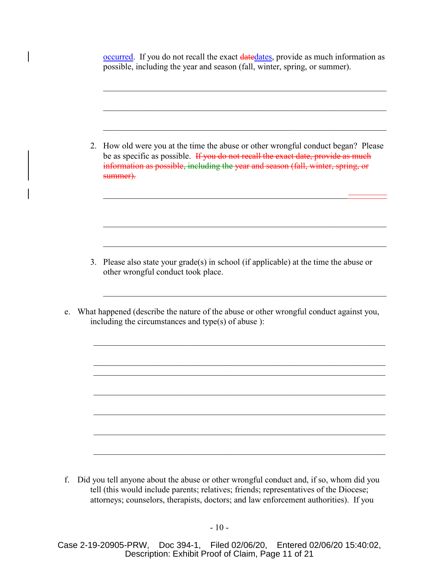occurred. If you do not recall the exact datedates, provide as much information as possible, including the year and season (fall, winter, spring, or summer).

2. How old were you at the time the abuse or other wrongful conduct began? Please be as specific as possible. If you do not recall the exact date, provide as much information as possible, including the year and season (fall, winter, spring, or summer).  $\mathcal{L}_\text{max}$  and  $\mathcal{L}_\text{max}$  and  $\mathcal{L}_\text{max}$  and  $\mathcal{L}_\text{max}$  and  $\mathcal{L}_\text{max}$  and  $\mathcal{L}_\text{max}$ 3. Please also state your grade(s) in school (if applicable) at the time the abuse or other wrongful conduct took place. e. What happened (describe the nature of the abuse or other wrongful conduct against you, including the circumstances and type(s) of abuse ):  $\mathcal{L}_\mathcal{L} = \mathcal{L}_\mathcal{L} = \mathcal{L}_\mathcal{L} = \mathcal{L}_\mathcal{L} = \mathcal{L}_\mathcal{L} = \mathcal{L}_\mathcal{L} = \mathcal{L}_\mathcal{L} = \mathcal{L}_\mathcal{L} = \mathcal{L}_\mathcal{L} = \mathcal{L}_\mathcal{L} = \mathcal{L}_\mathcal{L} = \mathcal{L}_\mathcal{L} = \mathcal{L}_\mathcal{L} = \mathcal{L}_\mathcal{L} = \mathcal{L}_\mathcal{L} = \mathcal{L}_\mathcal{L} = \mathcal{L}_\mathcal{L}$ 

f. Did you tell anyone about the abuse or other wrongful conduct and, if so, whom did you tell (this would include parents; relatives; friends; representatives of the Diocese; attorneys; counselors, therapists, doctors; and law enforcement authorities). If you

Case 2-19-20905-PRW, Doc 394-1, Filed 02/06/20, Entered 02/06/20 15:40:02, Description: Exhibit Proof of Claim, Page 11 of 21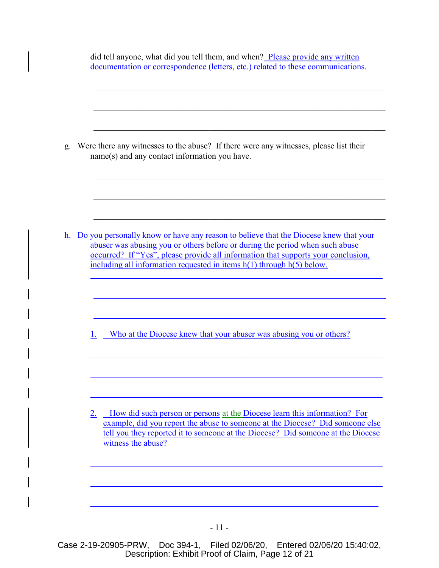| g.             | Were there any witnesses to the abuse? If there were any witnesses, please list their<br>$name(s)$ and any contact information you have.                                                                                                                                                                                               |
|----------------|----------------------------------------------------------------------------------------------------------------------------------------------------------------------------------------------------------------------------------------------------------------------------------------------------------------------------------------|
| h <sub>1</sub> | Do you personally know or have any reason to believe that the Diocese knew that your<br>abuser was abusing you or others before or during the period when such abuse<br>occurred? If "Yes", please provide all information that supports your conclusion,<br>including all information requested in items $h(1)$ through $h(5)$ below. |
|                | Who at the Diocese knew that your abuser was abusing you or others?<br>1.                                                                                                                                                                                                                                                              |
|                | How did such person or persons at the Diocese learn this information? For<br>2.<br>example, did you report the abuse to someone at the Diocese? Did someone else<br>tell you they reported it to someone at the Diocese? Did someone at the Diocese<br>witness the abuse?                                                              |
|                |                                                                                                                                                                                                                                                                                                                                        |

Case 2-19-20905-PRW, Doc 394-1, Filed 02/06/20, Entered 02/06/20 15:40:02, Description: Exhibit Proof of Claim, Page 12 of 21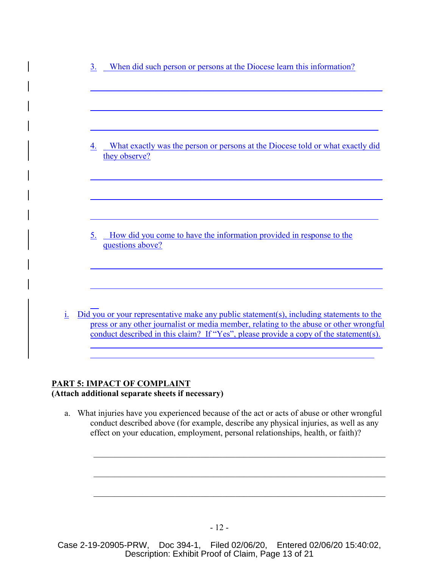| 4.<br>they observe? | How did you come to have the information provided in response to the<br>5.<br>questions above? | 3. | When did such person or persons at the Diocese learn this information?         |
|---------------------|------------------------------------------------------------------------------------------------|----|--------------------------------------------------------------------------------|
|                     |                                                                                                |    | What exactly was the person or persons at the Diocese told or what exactly did |
|                     |                                                                                                |    |                                                                                |

# **PART 5: IMPACT OF COMPLAINT (Attach additional separate sheets if necessary)**

a. What injuries have you experienced because of the act or acts of abuse or other wrongful conduct described above (for example, describe any physical injuries, as well as any effect on your education, employment, personal relationships, health, or faith)?

Case 2-19-20905-PRW, Doc 394-1, Filed 02/06/20, Entered 02/06/20 15:40:02, Description: Exhibit Proof of Claim, Page 13 of 21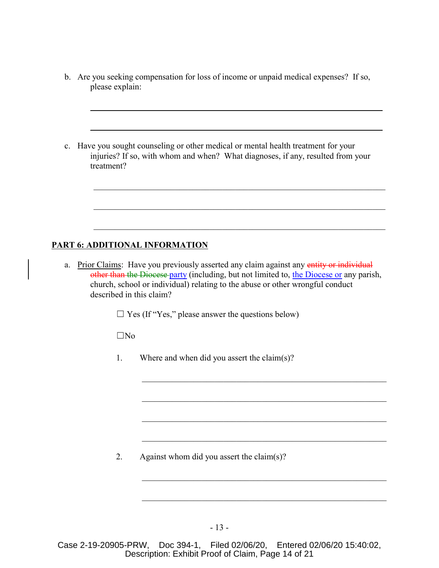b. Are you seeking compensation for loss of income or unpaid medical expenses? If so, please explain:

\_\_\_\_\_\_\_\_\_\_\_\_\_\_\_\_\_\_\_\_\_\_\_\_\_\_\_\_\_\_\_\_\_\_\_\_\_\_\_\_\_\_\_\_\_\_\_\_\_\_\_\_\_\_\_\_\_\_\_\_\_\_\_\_\_\_\_\_

 $\mathcal{L}_\mathcal{L} = \mathcal{L}_\mathcal{L} = \mathcal{L}_\mathcal{L} = \mathcal{L}_\mathcal{L} = \mathcal{L}_\mathcal{L} = \mathcal{L}_\mathcal{L} = \mathcal{L}_\mathcal{L} = \mathcal{L}_\mathcal{L} = \mathcal{L}_\mathcal{L} = \mathcal{L}_\mathcal{L} = \mathcal{L}_\mathcal{L} = \mathcal{L}_\mathcal{L} = \mathcal{L}_\mathcal{L} = \mathcal{L}_\mathcal{L} = \mathcal{L}_\mathcal{L} = \mathcal{L}_\mathcal{L} = \mathcal{L}_\mathcal{L}$ 

c. Have you sought counseling or other medical or mental health treatment for your injuries? If so, with whom and when? What diagnoses, if any, resulted from your treatment?

## **PART 6: ADDITIONAL INFORMATION**

a. Prior Claims: Have you previously asserted any claim against any entity or individual other than the Diocese party (including, but not limited to, the Diocese or any parish, church, school or individual) relating to the abuse or other wrongful conduct described in this claim?

 $\Box$  Yes (If "Yes," please answer the questions below)

☐No

1. Where and when did you assert the claim(s)?

2. Against whom did you assert the claim(s)?

- 13 -

Case 2-19-20905-PRW, Doc 394-1, Filed 02/06/20, Entered 02/06/20 15:40:02, Description: Exhibit Proof of Claim, Page 14 of 21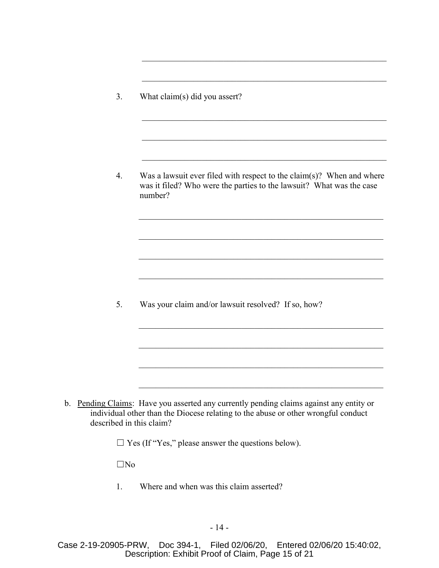3. What claim(s) did you assert?

4. Was a lawsuit ever filed with respect to the claim(s)? When and where was it filed? Who were the parties to the lawsuit? What was the case number?

 $\mathcal{L}_\text{max} = \mathcal{L}_\text{max} = \mathcal{L}_\text{max} = \mathcal{L}_\text{max} = \mathcal{L}_\text{max} = \mathcal{L}_\text{max} = \mathcal{L}_\text{max} = \mathcal{L}_\text{max} = \mathcal{L}_\text{max} = \mathcal{L}_\text{max} = \mathcal{L}_\text{max} = \mathcal{L}_\text{max} = \mathcal{L}_\text{max} = \mathcal{L}_\text{max} = \mathcal{L}_\text{max} = \mathcal{L}_\text{max} = \mathcal{L}_\text{max} = \mathcal{L}_\text{max} = \mathcal{$ 

 $\mathcal{L}_\text{max} = \mathcal{L}_\text{max} = \mathcal{L}_\text{max} = \mathcal{L}_\text{max} = \mathcal{L}_\text{max} = \mathcal{L}_\text{max} = \mathcal{L}_\text{max} = \mathcal{L}_\text{max} = \mathcal{L}_\text{max} = \mathcal{L}_\text{max} = \mathcal{L}_\text{max} = \mathcal{L}_\text{max} = \mathcal{L}_\text{max} = \mathcal{L}_\text{max} = \mathcal{L}_\text{max} = \mathcal{L}_\text{max} = \mathcal{L}_\text{max} = \mathcal{L}_\text{max} = \mathcal{$ 

 $\mathcal{L}_\text{max}$  and  $\mathcal{L}_\text{max}$  and  $\mathcal{L}_\text{max}$  and  $\mathcal{L}_\text{max}$  and  $\mathcal{L}_\text{max}$ 

5. Was your claim and/or lawsuit resolved? If so, how?

b. Pending Claims: Have you asserted any currently pending claims against any entity or individual other than the Diocese relating to the abuse or other wrongful conduct described in this claim?

 $\Box$  Yes (If "Yes," please answer the questions below).

 $\square$ No

1. Where and when was this claim asserted?

Case 2-19-20905-PRW, Doc 394-1, Filed 02/06/20, Entered 02/06/20 15:40:02, Description: Exhibit Proof of Claim, Page 15 of 21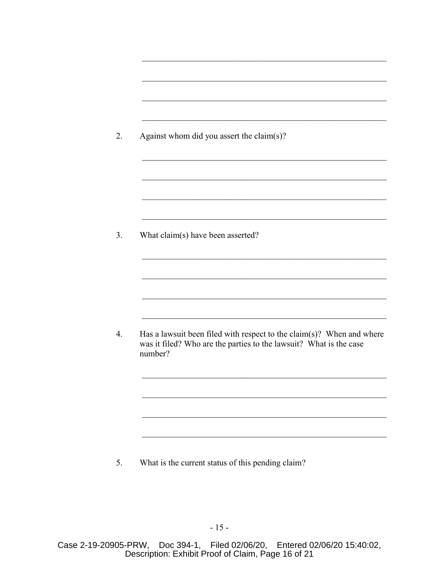| Against whom did you assert the claim(s)? |                                                                                                                                             |
|-------------------------------------------|---------------------------------------------------------------------------------------------------------------------------------------------|
|                                           |                                                                                                                                             |
|                                           |                                                                                                                                             |
|                                           |                                                                                                                                             |
|                                           |                                                                                                                                             |
| What claim(s) have been asserted?         |                                                                                                                                             |
|                                           |                                                                                                                                             |
|                                           |                                                                                                                                             |
|                                           |                                                                                                                                             |
| number?                                   | Has a lawsuit been filed with respect to the claim(s)? When and where<br>was it filed? Who are the parties to the lawsuit? What is the case |
|                                           |                                                                                                                                             |
|                                           |                                                                                                                                             |

5. What is the current status of this pending claim?

Case 2-19-20905-PRW, Doc 394-1, Filed 02/06/20, Entered 02/06/20 15:40:02,<br>Description: Exhibit Proof of Claim, Page 16 of 21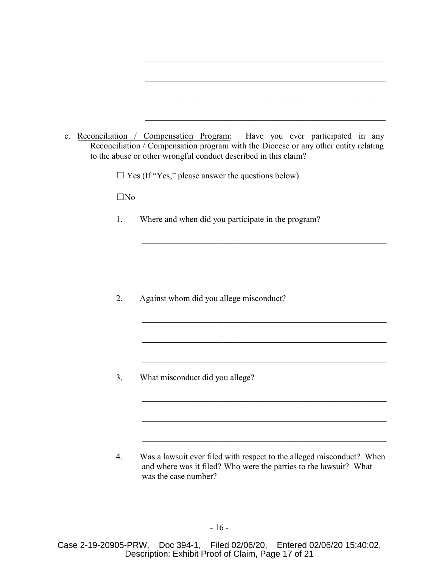| c. |              | Reconciliation / Compensation Program: Have you ever participated in any<br>Reconciliation / Compensation program with the Diocese or any other entity relating<br>to the abuse or other wrongful conduct described in this claim? |
|----|--------------|------------------------------------------------------------------------------------------------------------------------------------------------------------------------------------------------------------------------------------|
|    |              | $\Box$ Yes (If "Yes," please answer the questions below).                                                                                                                                                                          |
|    | $\square$ No |                                                                                                                                                                                                                                    |
|    | 1.           | Where and when did you participate in the program?                                                                                                                                                                                 |
|    |              |                                                                                                                                                                                                                                    |
|    |              |                                                                                                                                                                                                                                    |
|    | 2.           | Against whom did you allege misconduct?                                                                                                                                                                                            |
|    |              |                                                                                                                                                                                                                                    |
|    |              |                                                                                                                                                                                                                                    |
|    | 3.           | What misconduct did you allege?                                                                                                                                                                                                    |
|    |              |                                                                                                                                                                                                                                    |
|    |              |                                                                                                                                                                                                                                    |
|    | 4.           | Was a lawsuit ever filed with respect to the alleged misconduct? When<br>and where was it filed? Who were the parties to the lawsuit? What                                                                                         |

was the case number?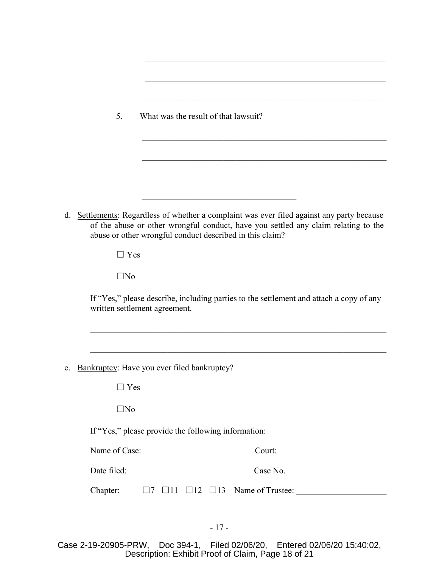|    | 5.           | What was the result of that lawsuit?                     |                                                                                                                                                                               |
|----|--------------|----------------------------------------------------------|-------------------------------------------------------------------------------------------------------------------------------------------------------------------------------|
|    |              |                                                          |                                                                                                                                                                               |
|    |              |                                                          |                                                                                                                                                                               |
|    |              |                                                          |                                                                                                                                                                               |
| d. |              | abuse or other wrongful conduct described in this claim? | Settlements: Regardless of whether a complaint was ever filed against any party because<br>of the abuse or other wrongful conduct, have you settled any claim relating to the |
|    | $\Box$ Yes   |                                                          |                                                                                                                                                                               |
|    | $\square$ No |                                                          |                                                                                                                                                                               |
|    |              | written settlement agreement.                            | If "Yes," please describe, including parties to the settlement and attach a copy of any                                                                                       |
|    |              |                                                          |                                                                                                                                                                               |
| e. |              | Bankruptcy: Have you ever filed bankruptcy?              |                                                                                                                                                                               |
|    | ∃ Yes        |                                                          |                                                                                                                                                                               |
|    | $\square$ No |                                                          |                                                                                                                                                                               |
|    |              | If "Yes," please provide the following information:      |                                                                                                                                                                               |
|    |              | Name of Case:                                            |                                                                                                                                                                               |
|    |              |                                                          | Case No.                                                                                                                                                                      |
|    | Chapter:     |                                                          |                                                                                                                                                                               |

Case 2-19-20905-PRW, Doc 394-1, Filed 02/06/20, Entered 02/06/20 15:40:02, Description: Exhibit Proof of Claim, Page 18 of 21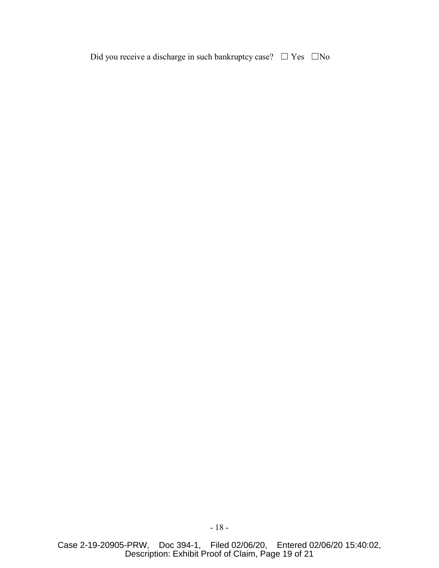Did you receive a discharge in such bankruptcy case?  $\Box$  Yes  $\Box$  No

Case 2-19-20905-PRW, Doc 394-1, Filed 02/06/20, Entered 02/06/20 15:40:02, Description: Exhibit Proof of Claim, Page 19 of 21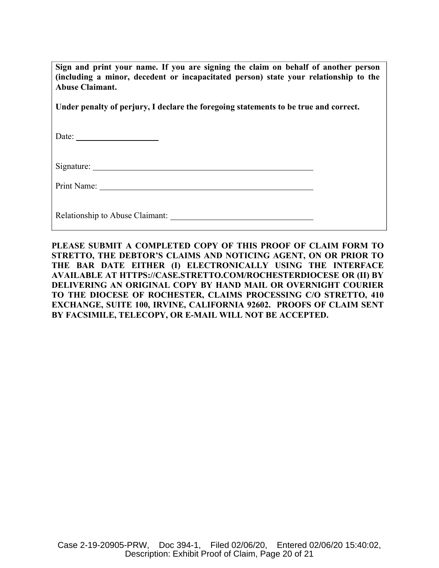| Sign and print your name. If you are signing the claim on behalf of another person<br>(including a minor, decedent or incapacitated person) state your relationship to the<br>Abuse Claimant. |  |
|-----------------------------------------------------------------------------------------------------------------------------------------------------------------------------------------------|--|
| Under penalty of perjury, I declare the foregoing statements to be true and correct.                                                                                                          |  |
|                                                                                                                                                                                               |  |
|                                                                                                                                                                                               |  |
|                                                                                                                                                                                               |  |
| Relationship to Abuse Claimant:                                                                                                                                                               |  |

**PLEASE SUBMIT A COMPLETED COPY OF THIS PROOF OF CLAIM FORM TO STRETTO, THE DEBTOR'S CLAIMS AND NOTICING AGENT, ON OR PRIOR TO THE BAR DATE EITHER (I) ELECTRONICALLY USING THE INTERFACE AVAILABLE AT HTTPS://CASE.STRETTO.COM/ROCHESTERDIOCESE OR (II) BY DELIVERING AN ORIGINAL COPY BY HAND MAIL OR OVERNIGHT COURIER TO THE DIOCESE OF ROCHESTER, CLAIMS PROCESSING C/O STRETTO, 410 EXCHANGE, SUITE 100, IRVINE, CALIFORNIA 92602. PROOFS OF CLAIM SENT BY FACSIMILE, TELECOPY, OR E-MAIL WILL NOT BE ACCEPTED.**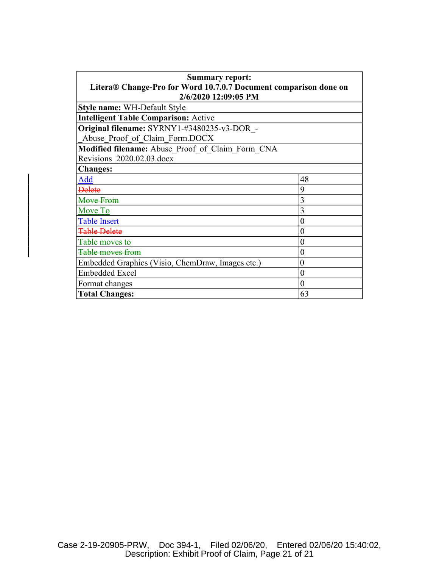| <b>Summary report:</b>                                           |                |  |  |  |
|------------------------------------------------------------------|----------------|--|--|--|
| Litera® Change-Pro for Word 10.7.0.7 Document comparison done on |                |  |  |  |
| 2/6/2020 12:09:05 PM                                             |                |  |  |  |
| Style name: WH-Default Style                                     |                |  |  |  |
| <b>Intelligent Table Comparison: Active</b>                      |                |  |  |  |
| Original filename: SYRNY1-#3480235-v3-DOR -                      |                |  |  |  |
| Abuse Proof of Claim Form.DOCX                                   |                |  |  |  |
| Modified filename: Abuse Proof of Claim Form CNA                 |                |  |  |  |
| Revisions 2020.02.03.docx                                        |                |  |  |  |
| <b>Changes:</b>                                                  |                |  |  |  |
| Add                                                              | 48             |  |  |  |
| <b>Delete</b>                                                    | 9              |  |  |  |
| Move From                                                        | 3              |  |  |  |
| Move To                                                          | 3              |  |  |  |
| <b>Table Insert</b>                                              | $\theta$       |  |  |  |
| <b>Table Delete</b>                                              | 0              |  |  |  |
| Table moves to                                                   | $\overline{0}$ |  |  |  |
| Table moves from                                                 | 0              |  |  |  |
| Embedded Graphics (Visio, ChemDraw, Images etc.)                 | 0              |  |  |  |
| <b>Embedded Excel</b>                                            | 0              |  |  |  |
| Format changes                                                   | $\theta$       |  |  |  |
| <b>Total Changes:</b>                                            | 63             |  |  |  |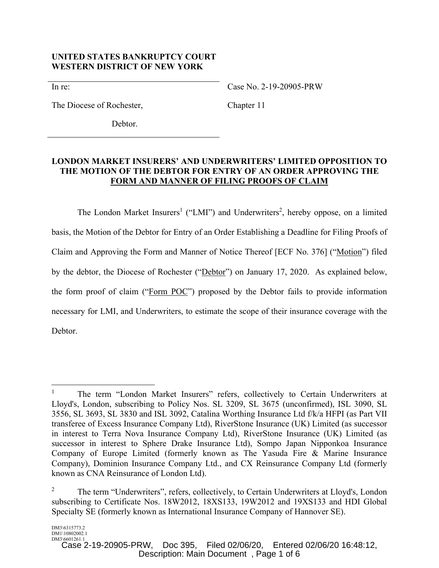# **UNITED STATES BANKRUPTCY COURT WESTERN DISTRICT OF NEW YORK**

In re:

Case No. 2-19-20905-PRW

The Diocese of Rochester,

Chapter 11

Debtor.

# **LONDON MARKET INSURERS' AND UNDERWRITERS' LIMITED OPPOSITION TO THE MOTION OF THE DEBTOR FOR ENTRY OF AN ORDER APPROVING THE FORM AND MANNER OF FILING PROOFS OF CLAIM**

The London Market Insurers<sup>1</sup> ("LMI") and Underwriters<sup>2</sup>, hereby oppose, on a limited basis, the Motion of the Debtor for Entry of an Order Establishing a Deadline for Filing Proofs of Claim and Approving the Form and Manner of Notice Thereof [ECF No. 376] ("Motion") filed by the debtor, the Diocese of Rochester ("Debtor") on January 17, 2020. As explained below, the form proof of claim ("Form POC") proposed by the Debtor fails to provide information necessary for LMI, and Underwriters, to estimate the scope of their insurance coverage with the Debtor.

 $\overline{a}$ 

<sup>1</sup> The term "London Market Insurers" refers, collectively to Certain Underwriters at Lloyd's, London, subscribing to Policy Nos. SL 3209, SL 3675 (unconfirmed), ISL 3090, SL 3556, SL 3693, SL 3830 and ISL 3092, Catalina Worthing Insurance Ltd f/k/a HFPI (as Part VII transferee of Excess Insurance Company Ltd), RiverStone Insurance (UK) Limited (as successor in interest to Terra Nova Insurance Company Ltd), RiverStone Insurance (UK) Limited (as successor in interest to Sphere Drake Insurance Ltd), Sompo Japan Nipponkoa Insurance Company of Europe Limited (formerly known as The Yasuda Fire & Marine Insurance Company), Dominion Insurance Company Ltd., and CX Reinsurance Company Ltd (formerly known as CNA Reinsurance of London Ltd).

<sup>2</sup> The term "Underwriters", refers, collectively, to Certain Underwriters at Lloyd's, London subscribing to Certificate Nos. 18W2012, 18XS133, 19W2012 and 19XS133 and HDI Global Specialty SE (formerly known as International Insurance Company of Hannover SE).

DM3\6601261.1<br>Case 2-19-20905-PRW, Doc 395, Filed 02/06/20, Entered 02/06/20 16:48:12, Description: Main Document , Page 1 of 6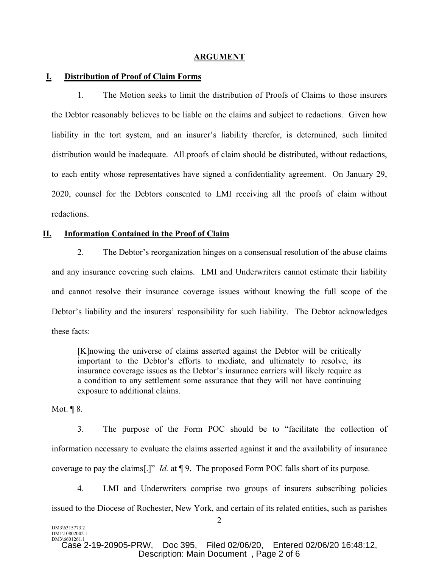#### **ARGUMENT**

#### **I. Distribution of Proof of Claim Forms**

1. The Motion seeks to limit the distribution of Proofs of Claims to those insurers the Debtor reasonably believes to be liable on the claims and subject to redactions. Given how liability in the tort system, and an insurer's liability therefor, is determined, such limited distribution would be inadequate. All proofs of claim should be distributed, without redactions, to each entity whose representatives have signed a confidentiality agreement. On January 29, 2020, counsel for the Debtors consented to LMI receiving all the proofs of claim without redactions.

### **II. Information Contained in the Proof of Claim**

2. The Debtor's reorganization hinges on a consensual resolution of the abuse claims and any insurance covering such claims. LMI and Underwriters cannot estimate their liability and cannot resolve their insurance coverage issues without knowing the full scope of the Debtor's liability and the insurers' responsibility for such liability. The Debtor acknowledges these facts:

[K]nowing the universe of claims asserted against the Debtor will be critically important to the Debtor's efforts to mediate, and ultimately to resolve, its insurance coverage issues as the Debtor's insurance carriers will likely require as a condition to any settlement some assurance that they will not have continuing exposure to additional claims.

Mot.  $\P$ 8.

3. The purpose of the Form POC should be to "facilitate the collection of information necessary to evaluate the claims asserted against it and the availability of insurance coverage to pay the claims[.]" *Id.* at ¶ 9. The proposed Form POC falls short of its purpose.

4. LMI and Underwriters comprise two groups of insurers subscribing policies issued to the Diocese of Rochester, New York, and certain of its related entities, such as parishes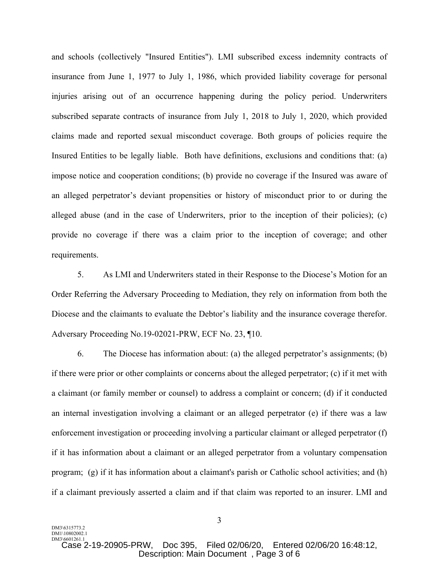and schools (collectively "Insured Entities"). LMI subscribed excess indemnity contracts of insurance from June 1, 1977 to July 1, 1986, which provided liability coverage for personal injuries arising out of an occurrence happening during the policy period. Underwriters subscribed separate contracts of insurance from July 1, 2018 to July 1, 2020, which provided claims made and reported sexual misconduct coverage. Both groups of policies require the Insured Entities to be legally liable. Both have definitions, exclusions and conditions that: (a) impose notice and cooperation conditions; (b) provide no coverage if the Insured was aware of an alleged perpetrator's deviant propensities or history of misconduct prior to or during the alleged abuse (and in the case of Underwriters, prior to the inception of their policies); (c) provide no coverage if there was a claim prior to the inception of coverage; and other requirements.

5. As LMI and Underwriters stated in their Response to the Diocese's Motion for an Order Referring the Adversary Proceeding to Mediation, they rely on information from both the Diocese and the claimants to evaluate the Debtor's liability and the insurance coverage therefor. Adversary Proceeding No.19-02021-PRW, ECF No. 23, ¶10.

6. The Diocese has information about: (a) the alleged perpetrator's assignments; (b) if there were prior or other complaints or concerns about the alleged perpetrator; (c) if it met with a claimant (or family member or counsel) to address a complaint or concern; (d) if it conducted an internal investigation involving a claimant or an alleged perpetrator (e) if there was a law enforcement investigation or proceeding involving a particular claimant or alleged perpetrator (f) if it has information about a claimant or an alleged perpetrator from a voluntary compensation program; (g) if it has information about a claimant's parish or Catholic school activities; and (h) if a claimant previously asserted a claim and if that claim was reported to an insurer. LMI and

DM3\6315773.2 DM1\10802002.1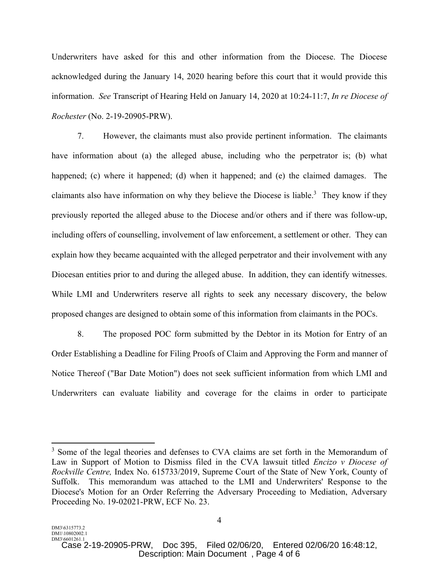Underwriters have asked for this and other information from the Diocese. The Diocese acknowledged during the January 14, 2020 hearing before this court that it would provide this information. *See* Transcript of Hearing Held on January 14, 2020 at 10:24-11:7, *In re Diocese of Rochester* (No. 2-19-20905-PRW).

7. However, the claimants must also provide pertinent information. The claimants have information about (a) the alleged abuse, including who the perpetrator is; (b) what happened; (c) where it happened; (d) when it happened; and (e) the claimed damages. The claimants also have information on why they believe the Diocese is liable.<sup>3</sup> They know if they previously reported the alleged abuse to the Diocese and/or others and if there was follow-up, including offers of counselling, involvement of law enforcement, a settlement or other. They can explain how they became acquainted with the alleged perpetrator and their involvement with any Diocesan entities prior to and during the alleged abuse. In addition, they can identify witnesses. While LMI and Underwriters reserve all rights to seek any necessary discovery, the below proposed changes are designed to obtain some of this information from claimants in the POCs.

8. The proposed POC form submitted by the Debtor in its Motion for Entry of an Order Establishing a Deadline for Filing Proofs of Claim and Approving the Form and manner of Notice Thereof ("Bar Date Motion") does not seek sufficient information from which LMI and Underwriters can evaluate liability and coverage for the claims in order to participate

<u>.</u>

<sup>&</sup>lt;sup>3</sup> Some of the legal theories and defenses to CVA claims are set forth in the Memorandum of Law in Support of Motion to Dismiss filed in the CVA lawsuit titled *Encizo v Diocese of Rockville Centre,* Index No. 615733/2019, Supreme Court of the State of New York, County of Suffolk. This memorandum was attached to the LMI and Underwriters' Response to the Diocese's Motion for an Order Referring the Adversary Proceeding to Mediation, Adversary Proceeding No. 19-02021-PRW, ECF No. 23.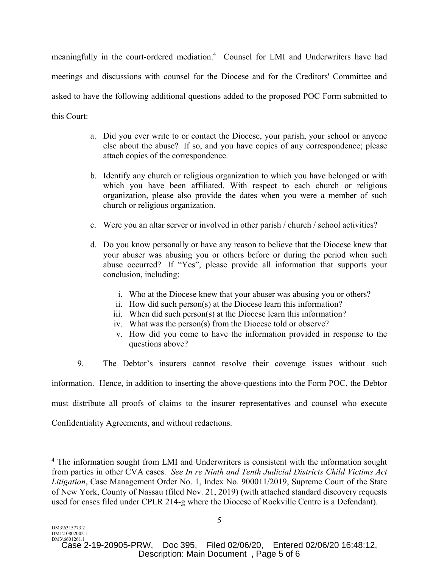meaningfully in the court-ordered mediation.<sup>4</sup> Counsel for LMI and Underwriters have had meetings and discussions with counsel for the Diocese and for the Creditors' Committee and asked to have the following additional questions added to the proposed POC Form submitted to this Court:

- a. Did you ever write to or contact the Diocese, your parish, your school or anyone else about the abuse? If so, and you have copies of any correspondence; please attach copies of the correspondence.
- b. Identify any church or religious organization to which you have belonged or with which you have been affiliated. With respect to each church or religious organization, please also provide the dates when you were a member of such church or religious organization.
- c. Were you an altar server or involved in other parish / church / school activities?
- d. Do you know personally or have any reason to believe that the Diocese knew that your abuser was abusing you or others before or during the period when such abuse occurred? If "Yes", please provide all information that supports your conclusion, including:
	- i. Who at the Diocese knew that your abuser was abusing you or others?
	- ii. How did such person(s) at the Diocese learn this information?
	- iii. When did such person(s) at the Diocese learn this information?
	- iv. What was the person(s) from the Diocese told or observe?
	- v. How did you come to have the information provided in response to the questions above?
- 9. The Debtor's insurers cannot resolve their coverage issues without such

information. Hence, in addition to inserting the above-questions into the Form POC, the Debtor

must distribute all proofs of claims to the insurer representatives and counsel who execute

Confidentiality Agreements, and without redactions.

 $\overline{a}$ 

Doc 395. Filed 02/06/20. Entered 02/06/20 16:48:12. Description: Main Document , Page 5 of 6

<sup>&</sup>lt;sup>4</sup> The information sought from LMI and Underwriters is consistent with the information sought from parties in other CVA cases. *See In re Ninth and Tenth Judicial Districts Child Victims Act Litigation*, Case Management Order No. 1, Index No. 900011/2019, Supreme Court of the State of New York, County of Nassau (filed Nov. 21, 2019) (with attached standard discovery requests used for cases filed under CPLR 214-g where the Diocese of Rockville Centre is a Defendant).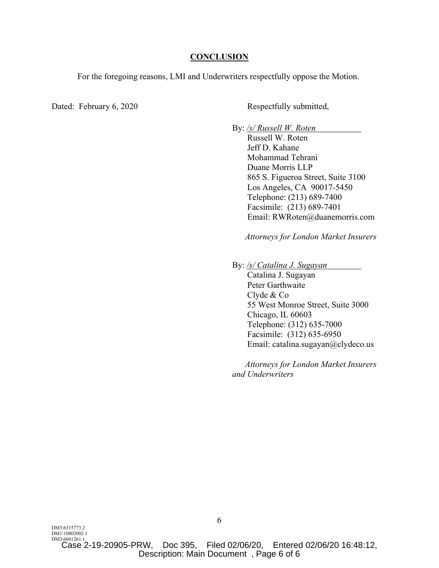#### **CONCLUSION**

For the foregoing reasons, LMI and Underwriters respectfully oppose the Motion.

Dated: February 6, 2020 Respectfully submitted,

By: */s/ Russell W. Roten* 

 Russell W. Roten Jeff D. Kahane Mohammad Tehrani Duane Morris LLP 865 S. Figueroa Street, Suite 3100 Los Angeles, CA 90017-5450 Telephone: (213) 689-7400 Facsimile: (213) 689-7401 Email: RWRoten@duanemorris.com

*Attorneys for London Market Insurers*

By: */s/ Catalina J. Sugayan* 

 Catalina J. Sugayan Peter Garthwaite Clyde & Co 55 West Monroe Street, Suite 3000 Chicago, IL 60603 Telephone: (312) 635-7000 Facsimile: (312) 635-6950 Email: catalina.sugayan@clydeco.us

 *Attorneys for London Market Insurers and Underwriters*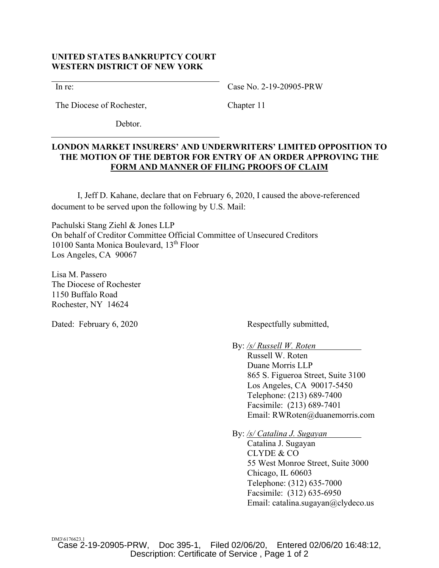# **UNITED STATES BANKRUPTCY COURT WESTERN DISTRICT OF NEW YORK**

In re:

Case No. 2-19-20905-PRW

Chapter 11

The Diocese of Rochester,

Debtor.

# **LONDON MARKET INSURERS' AND UNDERWRITERS' LIMITED OPPOSITION TO THE MOTION OF THE DEBTOR FOR ENTRY OF AN ORDER APPROVING THE FORM AND MANNER OF FILING PROOFS OF CLAIM**

 I, Jeff D. Kahane, declare that on February 6, 2020, I caused the above-referenced document to be served upon the following by U.S. Mail:

Pachulski Stang Ziehl & Jones LLP On behalf of Creditor Committee Official Committee of Unsecured Creditors 10100 Santa Monica Boulevard, 13th Floor Los Angeles, CA 90067

Lisa M. Passero The Diocese of Rochester 1150 Buffalo Road Rochester, NY 14624

Dated: February 6, 2020 Respectfully submitted,

By: */s/ Russell W. Roten* 

 Russell W. Roten Duane Morris LLP 865 S. Figueroa Street, Suite 3100 Los Angeles, CA 90017-5450 Telephone: (213) 689-7400 Facsimile: (213) 689-7401 Email: RWRoten@duanemorris.com

By: */s/ Catalina J. Sugayan* 

 Catalina J. Sugayan CLYDE & CO 55 West Monroe Street, Suite 3000 Chicago, IL 60603 Telephone: (312) 635-7000 Facsimile: (312) 635-6950 Email: catalina.sugayan@clydeco.us